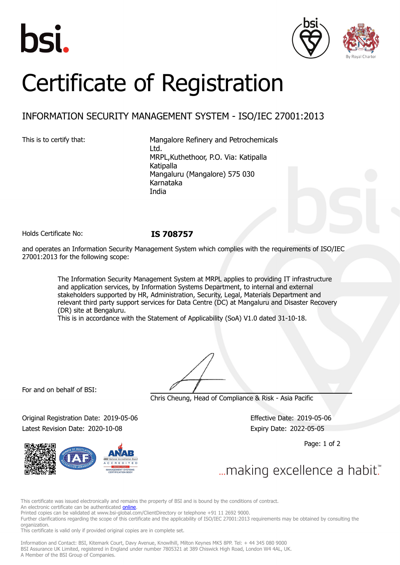





# Certificate of Registration

## INFORMATION SECURITY MANAGEMENT SYSTEM - ISO/IEC 27001:2013

This is to certify that: Mangalore Refinery and Petrochemicals Ltd. MRPL,Kuthethoor, P.O. Via: Katipalla Katipalla Mangaluru (Mangalore) 575 030 Karnataka India

Holds Certificate No: **IS 708757**

and operates an Information Security Management System which complies with the requirements of ISO/IEC 27001:2013 for the following scope:

> The Information Security Management System at MRPL applies to providing IT infrastructure and application services, by Information Systems Department, to internal and external stakeholders supported by HR, Administration, Security, Legal, Materials Department and relevant third party support services for Data Centre (DC) at Mangaluru and Disaster Recovery (DR) site at Bengaluru.

This is in accordance with the Statement of Applicability (SoA) V1.0 dated 31-10-18.

For and on behalf of BSI:

Chris Cheung, Head of Compliance & Risk - Asia Pacific

Original Registration Date: 2019-05-06 Effective Date: 2019-05-06 Latest Revision Date: 2020-10-08 Expiry Date: 2022-05-05

Page: 1 of 2

... making excellence a habit."

This certificate was issued electronically and remains the property of BSI and is bound by the conditions of contract.

An electronic certificate can be authenticated **[online](https://pgplus.bsigroup.com/CertificateValidation/CertificateValidator.aspx?CertificateNumber=IS+708757&ReIssueDate=08%2f10%2f2020&Template=india_en)**.

Printed copies can be validated at www.bsi-global.com/ClientDirectory or telephone +91 11 2692 9000.

Further clarifications regarding the scope of this certificate and the applicability of ISO/IEC 27001:2013 requirements may be obtained by consulting the organization.

This certificate is valid only if provided original copies are in complete set.

Information and Contact: BSI, Kitemark Court, Davy Avenue, Knowlhill, Milton Keynes MK5 8PP. Tel: + 44 345 080 9000 BSI Assurance UK Limited, registered in England under number 7805321 at 389 Chiswick High Road, London W4 4AL, UK. A Member of the BSI Group of Companies.